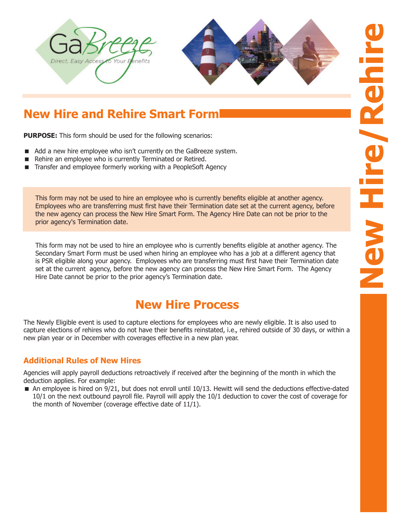



# **New Hire and Rehire Smart Form**

**PURPOSE:** This form should be used for the following scenarios:

- Add a new hire employee who isn't currently on the GaBreeze system.
- Rehire an employee who is currently Terminated or Retired.
- Transfer and employee formerly working with a PeopleSoft Agency

This form may not be used to hire an employee who is currently benefits eligible at another agency. Employees who are transferring must first have their Termination date set at the current agency, before the new agency can process the New Hire Smart Form. The Agency Hire Date can not be prior to the prior agency's Termination date.

This form may not be used to hire an employee who is currently benefits eligible at another agency. The Secondary Smart Form must be used when hiring an employee who has a job at a different agency that is PSR eligible along your agency. Employees who are transferring must first have their Termination date set at the current agency, before the new agency can process the New Hire Smart Form. The Agency Hire Date cannot be prior to the prior agency's Termination date.

## **New Hire Process**

The Newly Eligible event is used to capture elections for employees who are newly eligible. It is also used to capture elections of rehires who do not have their benefits reinstated, i.e., rehired outside of 30 days, or within a new plan year or in December with coverages effective in a new plan year.

#### **Additional Rules of New Hires**

Agencies will apply payroll deductions retroactively if received after the beginning of the month in which the deduction applies. For example:

 An employee is hired on 9/21, but does not enroll until 10/13. Hewitt will send the deductions effective-dated 10/1 on the next outbound payroll file. Payroll will apply the 10/1 deduction to cover the cost of coverage for the month of November (coverage effective date of 11/1).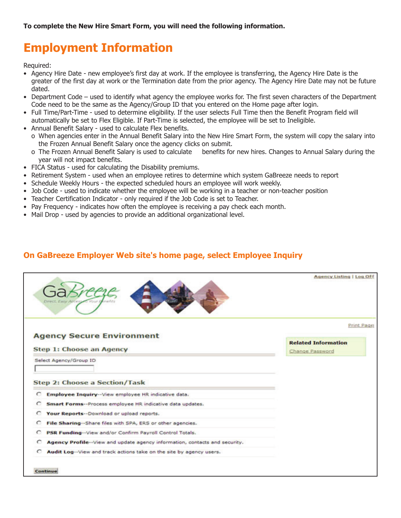# **Employment Information**

Required:

- Agency Hire Date new employee's first day at work. If the employee is transferring, the Agency Hire Date is the greater of the first day at work or the Termination date from the prior agency. The Agency Hire Date may not be future dated.
- Department Code used to identify what agency the employee works for. The first seven characters of the Department Code need to be the same as the Agency/Group ID that you entered on the Home page after login.
- Full Time/Part-Time used to determine eligibility. If the user selects Full Time then the Benefit Program field will automatically be set to Flex Eligible. If Part-Time is selected, the employee will be set to Ineligible.
- Annual Benefit Salary used to calculate Flex benefits.
	- o When agencies enter in the Annual Benefit Salary into the New Hire Smart Form, the system will copy the salary into the Frozen Annual Benefit Salary once the agency clicks on submit.
	- o The Frozen Annual Benefit Salary is used to calculate benefits for new hires. Changes to Annual Salary during the year will not impact benefits.
- FICA Status used for calculating the Disability premiums.
- Retirement System used when an employee retires to determine which system GaBreeze needs to report
- Schedule Weekly Hours the expected scheduled hours an employee will work weekly.
- Job Code used to indicate whether the employee will be working in a teacher or non-teacher position
- Teacher Certification Indicator only required if the Job Code is set to Teacher.
- Pay Frequency indicates how often the employee is receiving a pay check each month.
- Mail Drop used by agencies to provide an additional organizational level.

#### **On GaBreeze Employer Web site's home page, select Employee Inquiry**

|                                                                                 | Agency Listing   Log Off   |
|---------------------------------------------------------------------------------|----------------------------|
|                                                                                 | Print Page                 |
| <b>Agency Secure Environment</b>                                                |                            |
|                                                                                 | <b>Related Information</b> |
| Step 1: Choose an Agency                                                        | Change Password            |
|                                                                                 |                            |
| Select Agency/Group ID                                                          |                            |
|                                                                                 |                            |
| Step 2: Choose a Section/Task                                                   |                            |
| C<br>Employee Inquiry -- View employee HR indicative data.                      |                            |
| C<br>Smart Forms--Process employee HR indicative data updates.                  |                            |
| C<br>Your Reports -- Download or upload reports.                                |                            |
| File Sharing -- Share files with SPA, ERS or other agencies.<br>c               |                            |
| PSR Funding -- View and/or Confirm Payroll Control Totals.<br>$\circ$           |                            |
| Agency Profile--View and update agency information, contacts and security.<br>c |                            |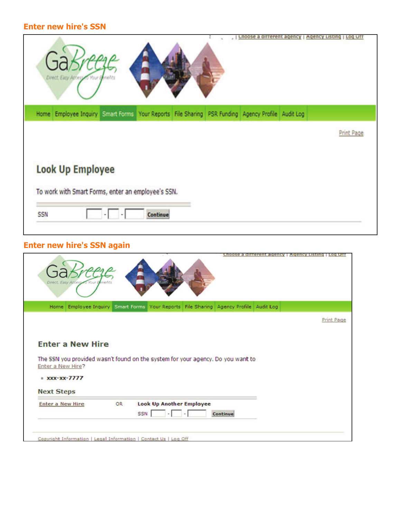### **Enter new hire's SSN**

| Direct, Easy Attessed Vt                                                                         | unoose a dirrerent agency | <b>Log UTT</b><br>Agency Listing |
|--------------------------------------------------------------------------------------------------|---------------------------|----------------------------------|
| Home Employee Inquiry Smart Forms Your Reports File Sharing PSR Funding Agency Profile Audit Log |                           |                                  |
|                                                                                                  |                           | Print Page                       |
| <b>Look Up Employee</b><br>To work with Smart Forms, enter an employee's SSN.<br>SSN<br>Continue |                           |                                  |

### **Enter new hire's SSN again**

| Direct, Easy Access to Your Benefits                                                 | Choose a different agency                                                            | <b>Agency Listing</b><br>Log Of |
|--------------------------------------------------------------------------------------|--------------------------------------------------------------------------------------|---------------------------------|
|                                                                                      | Home Employee Inquiry Smart Forms Your Reports File Sharing Agency Profile Audit Log |                                 |
|                                                                                      |                                                                                      | Print Page                      |
| <b>Enter a New Hire</b><br>Enter a New Hire?<br>$*$ xxx-xx-7777<br><b>Next Steps</b> | The SSN you provided wasn't found on the system for your agency. Do you want to      |                                 |
| <b>OR</b><br><b>Enter a New Hire</b>                                                 | <b>Look Up Another Employee</b>                                                      |                                 |
|                                                                                      | <b>SSN</b><br>Continue                                                               |                                 |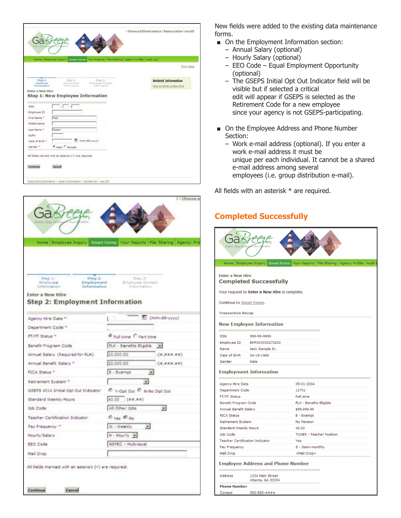|                                                                  |                                                                                                      | Choose a different agency   Agency Listing   Log Off  |
|------------------------------------------------------------------|------------------------------------------------------------------------------------------------------|-------------------------------------------------------|
|                                                                  | Home Employee Inquiry Smalt Forms Your Reports File Sharing Agency Profile Audit Log                 | Print, Page                                           |
| Step 1:<br>Employee<br>Information<br>Enter a New Hire           | $3$ kep $2$<br>Step 3:<br><b>Employee Contact</b><br>Employment<br>Information<br><b>Information</b> | <b>Related Information</b><br>How to Enter a New Hire |
|                                                                  | Step 1: New Employee Information                                                                     |                                                       |
|                                                                  |                                                                                                      |                                                       |
|                                                                  | $\cdot$ $\Box$ $\cdot$                                                                               |                                                       |
| <b>SSN</b>                                                       | Test                                                                                                 |                                                       |
|                                                                  |                                                                                                      |                                                       |
| Employee 1D<br>First Name *<br><b>Niddle Name</b><br>Last Name * | Tester                                                                                               |                                                       |
| Suffix                                                           |                                                                                                      |                                                       |
| Date of Birth =                                                  | (mm-dd-yyyy)                                                                                         |                                                       |
| Gender *                                                         | <b>C</b> Hale C Female                                                                               |                                                       |



New fields were added to the existing data maintenance forms.

- On the Employment Information section:
	- Annual Salary (optional)
	- Hourly Salary (optional)
	- EEO Code Equal Employment Opportunity (optional)
	- The GSEPS Initial Opt Out Indicator field will be visible but if selected a critical edit will appear if GSEPS is selected as the Retirement Code for a new employee since your agency is not GSEPS-participating.
- On the Employee Address and Phone Number Section:
	- Work e-mail address (optional). If you enter a work e-mail address it must be unique per each individual. It cannot be a shared e-mail address among several employees (i.e. group distribution e-mail).

All fields with an asterisk \* are required.

### **Completed Successfully**